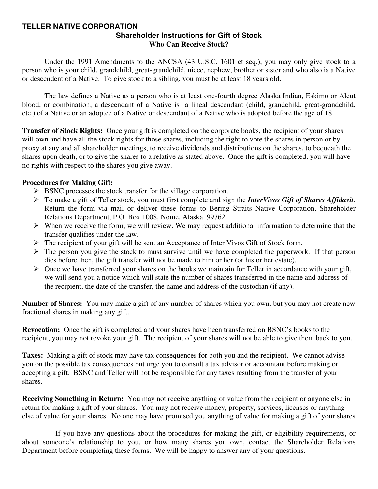#### **TELLER NATIVE CORPORATION Shareholder Instructions for Gift of Stock Who Can Receive Stock?**

Under the 1991 Amendments to the ANCSA (43 U.S.C. 1601 et seq.), you may only give stock to a person who is your child, grandchild, great-grandchild, niece, nephew, brother or sister and who also is a Native or descendent of a Native. To give stock to a sibling, you must be at least 18 years old.

 The law defines a Native as a person who is at least one-fourth degree Alaska Indian, Eskimo or Aleut blood, or combination; a descendant of a Native is a lineal descendant (child, grandchild, great-grandchild, etc.) of a Native or an adoptee of a Native or descendant of a Native who is adopted before the age of 18.

**Transfer of Stock Rights:** Once your gift is completed on the corporate books, the recipient of your shares will own and have all the stock rights for those shares, including the right to vote the shares in person or by proxy at any and all shareholder meetings, to receive dividends and distributions on the shares, to bequeath the shares upon death, or to give the shares to a relative as stated above. Once the gift is completed, you will have no rights with respect to the shares you give away.

#### **Procedures for Making Gift:**

- $\triangleright$  BSNC processes the stock transfer for the village corporation.
- ¾ To make a gift of Teller stock, you must first complete and sign the *InterVivos Gift of Shares Affidavit.* Return the form via mail or deliver these forms to Bering Straits Native Corporation, Shareholder Relations Department, P.O. Box 1008, Nome, Alaska 99762.
- $\triangleright$  When we receive the form, we will review. We may request additional information to determine that the transfer qualifies under the law.
- ¾ The recipient of your gift will be sent an Acceptance of Inter Vivos Gift of Stock form.
- $\triangleright$  The person you give the stock to must survive until we have completed the paperwork. If that person dies before then, the gift transfer will not be made to him or her (or his or her estate).
- $\triangleright$  Once we have transferred your shares on the books we maintain for Teller in accordance with your gift, we will send you a notice which will state the number of shares transferred in the name and address of the recipient, the date of the transfer, the name and address of the custodian (if any).

**Number of Shares:** You may make a gift of any number of shares which you own, but you may not create new fractional shares in making any gift.

**Revocation:** Once the gift is completed and your shares have been transferred on BSNC's books to the recipient, you may not revoke your gift. The recipient of your shares will not be able to give them back to you.

**Taxes:** Making a gift of stock may have tax consequences for both you and the recipient. We cannot advise you on the possible tax consequences but urge you to consult a tax advisor or accountant before making or accepting a gift. BSNC and Teller will not be responsible for any taxes resulting from the transfer of your shares.

**Receiving Something in Return:** You may not receive anything of value from the recipient or anyone else in return for making a gift of your shares. You may not receive money, property, services, licenses or anything else of value for your shares. No one may have promised you anything of value for making a gift of your shares

 If you have any questions about the procedures for making the gift, or eligibility requirements, or about someone's relationship to you, or how many shares you own, contact the Shareholder Relations Department before completing these forms. We will be happy to answer any of your questions.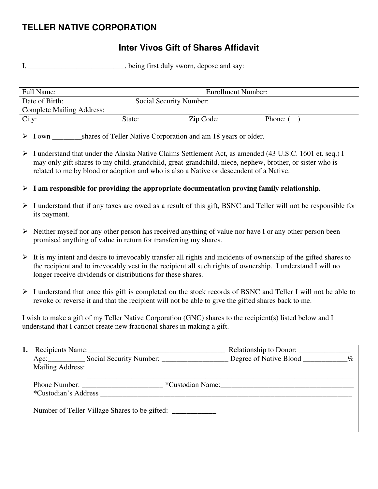# **TELLER NATIVE CORPORATION**

## **Inter Vivos Gift of Shares Affidavit**

I, \_\_\_\_\_\_\_\_\_\_\_\_\_\_\_\_\_\_\_\_\_\_, being first duly sworn, depose and say:

| Full Name:                       |                         | <b>Enrollment Number:</b> |        |
|----------------------------------|-------------------------|---------------------------|--------|
| Date of Birth:                   | Social Security Number: |                           |        |
| <b>Complete Mailing Address:</b> |                         |                           |        |
| City:                            | State:                  | Zip Code:                 | Phone: |

> I own shares of Teller Native Corporation and am 18 years or older.

- ¾ I understand that under the Alaska Native Claims Settlement Act, as amended (43 U.S.C. 1601 et. seq.) I may only gift shares to my child, grandchild, great-grandchild, niece, nephew, brother, or sister who is related to me by blood or adoption and who is also a Native or descendent of a Native.
- $\triangleright$  **I** am responsible for providing the appropriate documentation proving family relationship.
- ¾ I understand that if any taxes are owed as a result of this gift, BSNC and Teller will not be responsible for its payment.
- $\triangleright$  Neither myself nor any other person has received anything of value nor have I or any other person been promised anything of value in return for transferring my shares.
- $\triangleright$  It is my intent and desire to irrevocably transfer all rights and incidents of ownership of the gifted shares to the recipient and to irrevocably vest in the recipient all such rights of ownership. I understand I will no longer receive dividends or distributions for these shares.
- ¾ I understand that once this gift is completed on the stock records of BSNC and Teller I will not be able to revoke or reverse it and that the recipient will not be able to give the gifted shares back to me.

I wish to make a gift of my Teller Native Corporation (GNC) shares to the recipient(s) listed below and I understand that I cannot create new fractional shares in making a gift.

|  | Recipients Name:                                                                                                                                                                                                                                | Relationship to Donor: ______________ |  |
|--|-------------------------------------------------------------------------------------------------------------------------------------------------------------------------------------------------------------------------------------------------|---------------------------------------|--|
|  | Age: Social Security Number: Degree of Native Blood ________ %                                                                                                                                                                                  |                                       |  |
|  |                                                                                                                                                                                                                                                 |                                       |  |
|  | Phone Number:<br>*Custodian's Address and the set of the set of the set of the set of the set of the set of the set of the set of the set of the set of the set of the set of the set of the set of the set of the set of the set of the set of | *Custodian Name:                      |  |
|  | Number of Teller Village Shares to be gifted:                                                                                                                                                                                                   |                                       |  |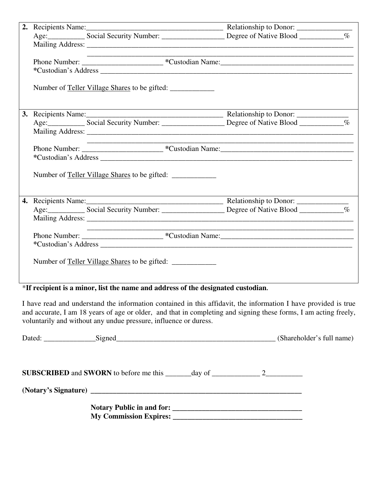|  | the control of the control of the control of the control of the control of |  |
|--|----------------------------------------------------------------------------|--|
|  |                                                                            |  |
|  |                                                                            |  |
|  | Number of <u>Teller Village Shares</u> to be gifted:                       |  |
|  |                                                                            |  |
|  |                                                                            |  |
|  |                                                                            |  |
|  |                                                                            |  |
|  |                                                                            |  |
|  |                                                                            |  |
|  | Number of <u>Teller Village Shares</u> to be gifted:                       |  |
|  |                                                                            |  |
|  |                                                                            |  |
|  |                                                                            |  |
|  |                                                                            |  |
|  |                                                                            |  |
|  |                                                                            |  |
|  | Number of <u>Teller Village Shares</u> to be gifted:                       |  |

### \***If recipient is a minor, list the name and address of the designated custodian.**

I have read and understand the information contained in this affidavit, the information I have provided is true and accurate, I am 18 years of age or older, and that in completing and signing these forms, I am acting freely, voluntarily and without any undue pressure, influence or duress.

| Dated: Signed Signed Signed Signed Signed States and States and States and States and States and States and States and States and States and States and States and States and States and States and States and States and Stat |  | (Shareholder's full name) |
|--------------------------------------------------------------------------------------------------------------------------------------------------------------------------------------------------------------------------------|--|---------------------------|
|                                                                                                                                                                                                                                |  |                           |
| (Notary's Signature) has a series of the series of the series of the series of the series of the series of the series of the series of the series of the series of the series of the series of the series of the series of the |  |                           |
| My Commission Expires: 2008. The Commission Expires: 2008. The Commission Expires: 2008. The Commission Expires: 2008. The Commission Expires: 2008. The Commission Expires: 2008. The Commission Expires: 2008. The Commissio |  |                           |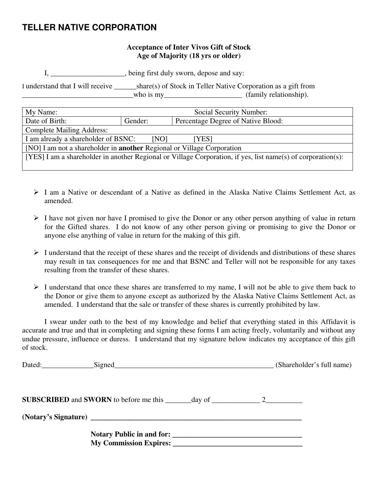### **TELLER NATIVE CORPORATION**

#### **Acceptance of Inter Vivos Gift of Stock Age of Majority (18 yrs or older)**

I, \_\_\_\_\_\_\_\_\_\_\_\_\_\_\_\_\_\_\_\_, being first duly sworn, depose and say:

I understand that I will receive \_\_\_\_\_\_share(s) of Stock in Teller Native Corporation as a gift from  $\blacksquare$  who is my $\blacksquare$  (family relationship).

| My Name:                                                                                                     | Social Security Number:                       |  |  |
|--------------------------------------------------------------------------------------------------------------|-----------------------------------------------|--|--|
| Date of Birth:                                                                                               | Percentage Degree of Native Blood:<br>Gender: |  |  |
| <b>Complete Mailing Address:</b>                                                                             |                                               |  |  |
| I am already a shareholder of BSNC:<br>[NO]<br>[YES]                                                         |                                               |  |  |
| [NO] I am not a shareholder in <b>another</b> Regional or Village Corporation                                |                                               |  |  |
| [YES] I am a shareholder in another Regional or Village Corporation, if yes, list name(s) of corporation(s): |                                               |  |  |
|                                                                                                              |                                               |  |  |

- $\triangleright$  I am a Native or descendant of a Native as defined in the Alaska Native Claims Settlement Act, as amended.
- $\triangleright$  I have not given nor have I promised to give the Donor or any other person anything of value in return for the Gifted shares. I do not know of any other person giving or promising to give the Donor or anyone else anything of value in return for the making of this gift.
- $\triangleright$  I understand that the receipt of these shares and the receipt of dividends and distributions of these shares may result in tax consequences for me and that BSNC and Teller will not be responsible for any taxes resulting from the transfer of these shares.
- $\triangleright$  I understand that once these shares are transferred to my name, I will not be able to give them back to the Donor or give them to anyone except as authorized by the Alaska Native Claims Settlement Act, as amended. I understand that the sale or transfer of these shares is currently prohibited by law.

 I swear under oath to the best of my knowledge and belief that everything stated in this Affidavit is accurate and true and that in completing and signing these forms I am acting freely, voluntarily and without any undue pressure, influence or duress. I understand that my signature below indicates my acceptance of this gift of stock.

| Dated: Signed Signed Signed Signed Signed Signed Signed Signed Signed Signed Signed Signed Signed Signed Signed Signed Signed Signed Signed Signed Signed Signed Signed Signed Signed Signed Signed Signed Signed Signed Signe | (Shareholder's full name) |
|--------------------------------------------------------------------------------------------------------------------------------------------------------------------------------------------------------------------------------|---------------------------|
|                                                                                                                                                                                                                                |                           |
|                                                                                                                                                                                                                                |                           |
| My Commission Expires:                                                                                                                                                                                                         |                           |